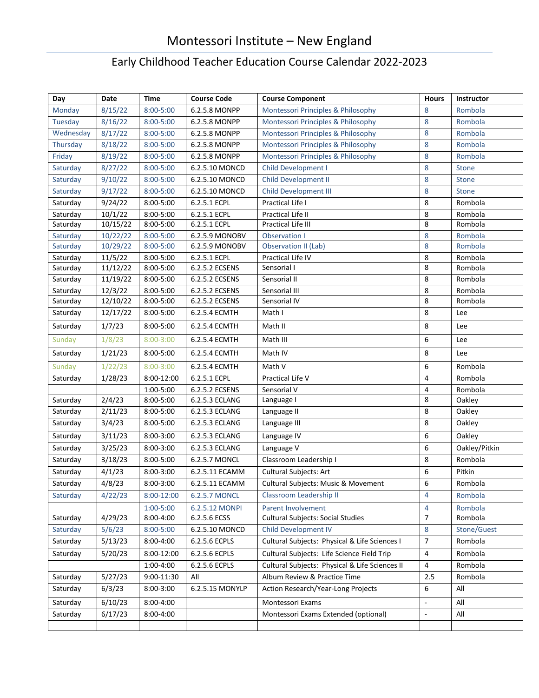## Montessori Institute – New England

## Early Childhood Teacher Education Course Calendar 2022-2023

| Day       | Date                  | Time          | <b>Course Code</b> | <b>Course Component</b>                        | <b>Hours</b>             | Instructor    |
|-----------|-----------------------|---------------|--------------------|------------------------------------------------|--------------------------|---------------|
| Monday    | 8/15/22               | $8:00 - 5:00$ | 6.2.5.8 MONPP      | Montessori Principles & Philosophy             | 8                        | Rombola       |
| Tuesday   | 8/16/22               | $8:00 - 5:00$ | 6.2.5.8 MONPP      | Montessori Principles & Philosophy             | 8                        | Rombola       |
| Wednesday | 8/17/22               | $8:00 - 5:00$ | 6.2.5.8 MONPP      | Montessori Principles & Philosophy             | 8                        | Rombola       |
| Thursday  | 8/18/22               | 8:00-5:00     | 6.2.5.8 MONPP      | Montessori Principles & Philosophy             | 8                        | Rombola       |
| Friday    | 8/19/22               | 8:00-5:00     | 6.2.5.8 MONPP      | Montessori Principles & Philosophy             | 8                        | Rombola       |
| Saturday  | 8/27/22               | 8:00-5:00     | 6.2.5.10 MONCD     | Child Development I                            | 8                        | <b>Stone</b>  |
| Saturday  | 9/10/22               | $8:00 - 5:00$ | 6.2.5.10 MONCD     | Child Development II                           | 8                        | Stone         |
| Saturday  | 9/17/22               | 8:00-5:00     | 6.2.5.10 MONCD     | <b>Child Development III</b>                   | 8                        | <b>Stone</b>  |
| Saturday  | 9/24/22               | 8:00-5:00     | 6.2.5.1 ECPL       | Practical Life I                               | 8                        | Rombola       |
| Saturday  | 10/1/22               | $8:00 - 5:00$ | 6.2.5.1 ECPL       | Practical Life II                              | 8                        | Rombola       |
| Saturday  | 10/15/22              | $8:00 - 5:00$ | 6.2.5.1 ECPL       | Practical Life III                             | 8                        | Rombola       |
| Saturday  | 10/22/22              | 8:00-5:00     | 6.2.5.9 MONOBV     | <b>Observation I</b>                           | 8                        | Rombola       |
| Saturday  | 10/29/22              | $8:00 - 5:00$ | 6.2.5.9 MONOBV     | Observation II (Lab)                           | 8                        | Rombola       |
| Saturday  | 11/5/22               | 8:00-5:00     | 6.2.5.1 ECPL       | Practical Life IV                              | 8                        | Rombola       |
| Saturday  | $\frac{1}{11}{12/22}$ | 8:00-5:00     | 6.2.5.2 ECSENS     | Sensorial I                                    | 8                        | Rombola       |
| Saturday  | 11/19/22              | 8:00-5:00     | 6.2.5.2 ECSENS     | Sensorial II                                   | 8                        | Rombola       |
| Saturday  | 12/3/22               | $8:00 - 5:00$ | 6.2.5.2 ECSENS     | Sensorial III                                  | 8                        | Rombola       |
| Saturday  | 12/10/22              | $8:00 - 5:00$ | 6.2.5.2 ECSENS     | Sensorial IV                                   | 8                        | Rombola       |
| Saturday  | 12/17/22              | $8:00 - 5:00$ | 6.2.5.4 ECMTH      | Math I                                         | 8                        | Lee           |
| Saturday  | 1/7/23                | $8:00 - 5:00$ | 6.2.5.4 ECMTH      | Math II                                        | 8                        | Lee           |
| Sunday    | 1/8/23                | $8:00 - 3:00$ | 6.2.5.4 ECMTH      | Math III                                       | 6                        | Lee           |
| Saturday  | 1/21/23               | $8:00 - 5:00$ | 6.2.5.4 ECMTH      | Math IV                                        | 8                        | Lee           |
| Sunday    | 1/22/23               | $8:00 - 3:00$ | 6.2.5.4 ECMTH      | Math V                                         | 6                        | Rombola       |
| Saturday  | 1/28/23               | 8:00-12:00    | 6.2.5.1 ECPL       | Practical Life V                               | $\overline{4}$           | Rombola       |
|           |                       | 1:00-5:00     | 6.2.5.2 ECSENS     | Sensorial V                                    | 4                        | Rombola       |
| Saturday  | 2/4/23                | 8:00-5:00     | 6.2.5.3 ECLANG     | Language I                                     | 8                        | Oakley        |
| Saturday  | 2/11/23               | 8:00-5:00     | 6.2.5.3 ECLANG     | Language II                                    | 8                        | Oakley        |
| Saturday  | 3/4/23                | 8:00-5:00     | 6.2.5.3 ECLANG     | Language III                                   | 8                        | Oakley        |
| Saturday  | 3/11/23               | $8:00-3:00$   | 6.2.5.3 ECLANG     | Language IV                                    | 6                        | Oakley        |
| Saturday  | 3/25/23               | $8:00-3:00$   | 6.2.5.3 ECLANG     | Language V                                     | 6                        | Oakley/Pitkin |
| Saturday  | 3/18/23               | $8:00 - 5:00$ | 6.2.5.7 MONCL      | Classroom Leadership I                         | 8                        | Rombola       |
| Saturday  | 4/1/23                | 8:00-3:00     | 6.2.5.11 ECAMM     | Cultural Subjects: Art                         | 6                        | Pitkin        |
| Saturday  | 4/8/23                | $8:00 - 3:00$ | 6.2.5.11 ECAMM     | <b>Cultural Subjects: Music &amp; Movement</b> | 6                        | Rombola       |
| Saturday  | 4/22/23               | 8:00-12:00    | 6.2.5.7 MONCL      | Classroom Leadership II                        | 4                        | Rombola       |
|           |                       | $1:00 - 5:00$ | 6.2.5.12 MONPI     | Parent Involvement                             | 4                        | Rombola       |
| Saturday  | 4/29/23               | 8:00-4:00     | 6.2.5.6 ECSS       | <b>Cultural Subjects: Social Studies</b>       | $\overline{7}$           | Rombola       |
| Saturday  | 5/6/23                | $8:00 - 5:00$ | 6.2.5.10 MONCD     | <b>Child Development IV</b>                    | 8                        | Stone/Guest   |
| Saturday  | 5/13/23               | 8:00-4:00     | 6.2.5.6 ECPLS      | Cultural Subjects: Physical & Life Sciences I  | $\overline{7}$           | Rombola       |
| Saturday  | 5/20/23               | 8:00-12:00    | 6.2.5.6 ECPLS      | Cultural Subjects: Life Science Field Trip     | 4                        | Rombola       |
|           |                       | 1:00-4:00     | 6.2.5.6 ECPLS      | Cultural Subjects: Physical & Life Sciences II | $\overline{4}$           | Rombola       |
| Saturday  | 5/27/23               | 9:00-11:30    | All                | Album Review & Practice Time                   | 2.5                      | Rombola       |
| Saturday  | 6/3/23                | 8:00-3:00     | 6.2.5.15 MONYLP    | Action Research/Year-Long Projects             | 6                        | All           |
| Saturday  | 6/10/23               | 8:00-4:00     |                    | Montessori Exams                               | $\overline{\phantom{a}}$ | All           |
| Saturday  | 6/17/23               | 8:00-4:00     |                    | Montessori Exams Extended (optional)           | $\overline{\phantom{a}}$ | All           |
|           |                       |               |                    |                                                |                          |               |